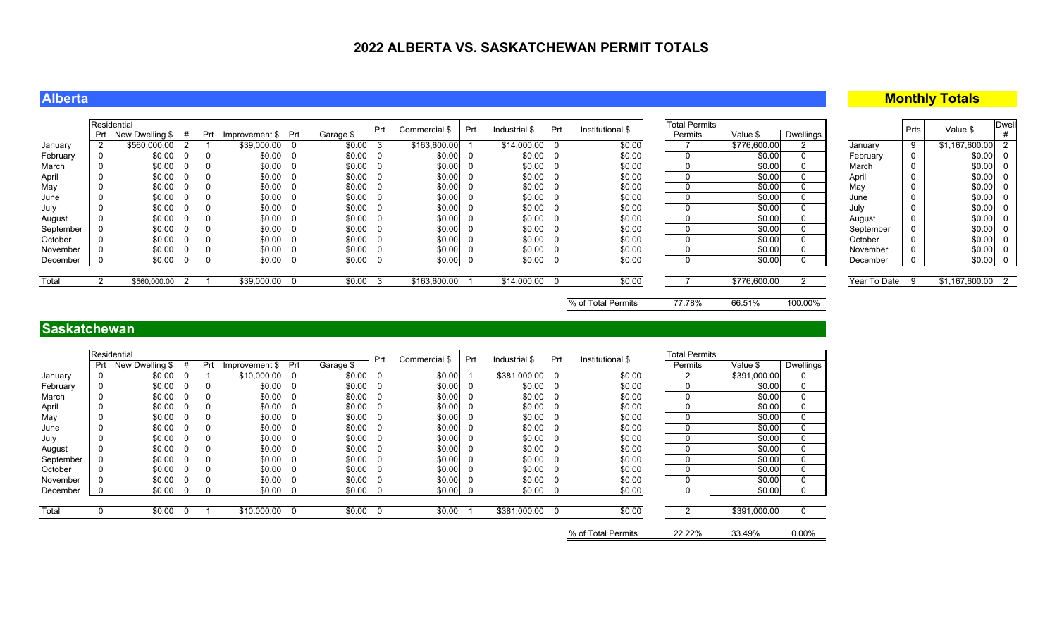## **Alberta**

## **Monthly Totals**

|           | Residential |                     |                |     |                    |     |           | Prt | Commercial \$ | Prt      | Industrial \$  | Prt | Institutional \$ | <b>Total Permits</b> |              |           |              | Prts | Value \$         | <b>Dwell</b> |  |
|-----------|-------------|---------------------|----------------|-----|--------------------|-----|-----------|-----|---------------|----------|----------------|-----|------------------|----------------------|--------------|-----------|--------------|------|------------------|--------------|--|
|           |             | Prt New Dwelling \$ |                | Prt | Improvement \$ Prt |     | Garage \$ |     |               |          |                |     |                  | Permits              | Value \$     | Dwellings |              |      |                  |              |  |
| January   |             | \$560,000.00        |                |     | \$39,000.00        | - 0 | \$0.00    | 3   | \$163,600.00  |          | $$14,000.00$ 0 |     | \$0.00           |                      | \$776,600.00 |           | January      | 9    | \$1,167,600.00   |              |  |
| February  |             | \$0.00              |                |     | \$0.00             |     | \$0.00    | - 0 | \$0.00        | - 0      | \$0.00         |     | \$0.00           |                      | \$0.00       |           | February     |      | \$0.00           | - 0          |  |
| March     |             | \$0.00              |                |     | \$0.00             |     | \$0.00    |     | \$0.00        | - 0      | \$0.00         |     | \$0.00           |                      | \$0.00       |           | <b>March</b> |      | \$0.00           |              |  |
| April     |             | \$0.00              |                |     | \$0.00             |     | \$0.00    | - 0 | \$0.00        | <b>U</b> | \$0.00         | - 0 | \$0.00           |                      | \$0.00       |           | April        |      | \$0.00           |              |  |
| May       |             | \$0.00              |                |     | \$0.00             |     | \$0.00    |     | \$0.00        | - 0      | \$0.00         |     | \$0.00           |                      | \$0.00       |           | May          |      | \$0.00           |              |  |
| June      |             | \$0.00              |                |     | \$0.00             |     | \$0.00    | - 0 | \$0.00        | - 0      | \$0.00         |     | \$0.00           |                      | \$0.00       |           | IJune        |      | \$0.00           | - 0          |  |
| July      |             | \$0.00              |                |     | \$0.00             |     | \$0.00    |     | \$0.00        | - 0      | \$0.00         |     | \$0.00           |                      | \$0.00       |           | July         |      | $$0.00$ 0        |              |  |
| August    |             | \$0.00              |                |     | \$0.00             | - 0 | \$0.00    | - 0 | \$0.00        | - 0      | \$0.00         | - 0 | \$0.00           |                      | \$0.00       |           | August       |      | $$0.00 $ 0       |              |  |
| September |             | \$0.00              |                |     | \$0.00             |     | \$0.00    | - 0 | \$0.00        | - 0      | \$0.00         |     | \$0.00           |                      | \$0.00       |           | September    |      | \$0.00           |              |  |
| October   |             | \$0.00              |                |     | \$0.00             |     | \$0.00    | - 0 | \$0.00        | - 0      | \$0.00         |     | \$0.00           |                      | \$0.00       |           | October      |      | \$0.00           | - 0          |  |
| November  |             | \$0.00              |                |     | \$0.00             |     | \$0.00    |     | \$0.00        | - 0      | $$0.00$ 0      |     | \$0.00           |                      | \$0.00       |           | November     |      | \$0.00 0         |              |  |
| December  |             | \$0.00              |                | - 0 | \$0.00             | - 0 | \$0.00    | - 0 | \$0.00        | <b>U</b> | $$0.00$ 0      |     | \$0.00           |                      | \$0.00       |           | December     |      | \$0.00 0         |              |  |
|           |             |                     |                |     |                    |     |           |     |               |          |                |     |                  |                      |              |           |              |      |                  |              |  |
| Total     |             | \$560,000.00        | $\overline{2}$ |     | \$39,000.00 0      |     | \$0.00    | - 3 | \$163,600.00  |          | \$14,000.00 0  |     | \$0.00           |                      | \$776,600.00 |           | Year To Date | - 9  | \$1,167,600.00 2 |              |  |
|           |             |                     |                |     |                    |     |           |     |               |          |                |     |                  |                      |              |           |              |      |                  |              |  |

% of Total Permits 77.78% 66.51% 100.00%

### **Saskatchewan**

|           |     | Residential     |     |                |                |           | Prt      | Commercial \$ | Prt | Industrial \$ | Prt | Institutional \$   | <b>Total Permits</b> |              |             |
|-----------|-----|-----------------|-----|----------------|----------------|-----------|----------|---------------|-----|---------------|-----|--------------------|----------------------|--------------|-------------|
|           | Prt | New Dwelling \$ | Prt | Improvement \$ | Prt            | Garage \$ |          |               |     |               |     |                    | Permits              | Value \$     | Dwellings   |
| January   | 0   | \$0.00          |     | \$10,000.00    | $\overline{0}$ | \$0.00    | $\Omega$ | \$0.00        |     | \$381,000.00  | 0   | \$0.00             | 2                    | \$391,000.00 | 0           |
| February  | 0   | \$0.00          | 0   | \$0.00         | 0              | \$0.00    | 0        | \$0.00        |     | \$0.00        | 0   | \$0.00             | $\mathbf 0$          | \$0.00       | 0           |
| March     | 0   | \$0.00          | 0   | \$0.00         | 0              | \$0.00    |          | \$0.00        | 0   | \$0.00        | 0   | \$0.00             | 0                    | \$0.00       | 0           |
| April     | 0   | \$0.00          | 0   | \$0.00         | -0             | \$0.00    |          | \$0.00        | 0   | \$0.00        | 0   | \$0.00             | 0                    | \$0.00       | $\mathbf 0$ |
| May       | 0   | \$0.00          | 0   | \$0.00         | -0             | \$0.00    |          | \$0.00        |     | \$0.00        | 0   | \$0.00             | 0                    | \$0.00       | 0           |
| June      | 0   | \$0.00          | 0   | \$0.00         | -0             | \$0.00    |          | \$0.00        |     | \$0.00        | 0   | \$0.00             | 0                    | \$0.00       | 0           |
| July      | 0   | \$0.00          | 0   | \$0.00         | -0             | \$0.00    |          | \$0.00        |     | \$0.00        | 0   | \$0.00             | 0                    | \$0.00       | 0           |
| August    | 0   | \$0.00          | 0   | \$0.00         | -0             | \$0.00    |          | \$0.00        | 0   | \$0.00        | 0   | \$0.00             | 0                    | \$0.00       | 0           |
| September | 0   | \$0.00          | 0   | \$0.00         | 0              | \$0.00    |          | \$0.00        | 0   | \$0.00        | 0   | \$0.00             | 0                    | \$0.00       | $\mathbf 0$ |
| October   | 0   | \$0.00          | 0   | \$0.00         | 0              | \$0.00    | -0       | \$0.00        | 0   | \$0.00        | 0   | \$0.00             | 0                    | \$0.00       | 0           |
| November  | 0   | \$0.00          | 0   | \$0.00         | 0              | \$0.00    | - 0      | \$0.00        |     | \$0.00        | 0   | \$0.00             | $\mathbf{0}$         | \$0.00       | 0           |
| December  |     | \$0.00          | 0   | \$0.00         | <b>O</b>       | \$0.00    | -0       | \$0.00        | 0   | \$0.00        | - 0 | \$0.00             | 0                    | \$0.00       | $\Omega$    |
|           |     |                 |     |                |                |           |          |               |     |               |     |                    |                      |              |             |
| Total     |     | \$0.00          |     | \$10,000.00    | $\Omega$       | \$0.00    |          | \$0.00        |     | \$381,000.00  |     | \$0.00             |                      | \$391,000.00 |             |
|           |     |                 |     |                |                |           |          |               |     |               |     | % of Total Permits | 22.22%               | 33.49%       | $0.00\%$    |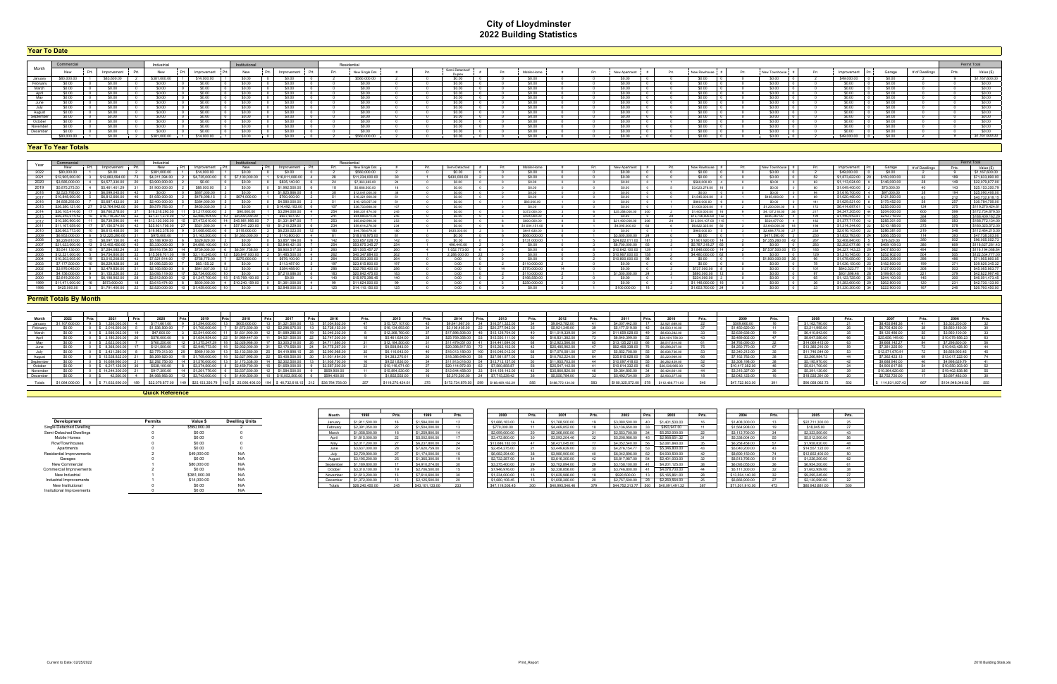# **City of Lloydminster 2022 Building Statistics**

| Year To Date                   |            |             |                             |     |                |                        |     |                          |  |             |  |             |  |              |              |  |              |            |                |       |                       |
|--------------------------------|------------|-------------|-----------------------------|-----|----------------|------------------------|-----|--------------------------|--|-------------|--|-------------|--|--------------|--------------|--|--------------|------------|----------------|-------|-----------------------|
|                                |            |             |                             |     |                |                        |     |                          |  |             |  |             |  |              |              |  |              |            |                |       |                       |
|                                |            |             | Industria                   |     |                | Residentia             |     |                          |  |             |  |             |  |              |              |  |              |            |                |       | Permit Total          |
| Month                          | New        | Improvement | New<br>Improvement          | New | Improvement    | Prt.<br>New Single Det | Prt | Semi-Detached/<br>Dunley |  | Mobile Home |  | New Apartme |  | New Rowhous€ | New Town     |  | Improvemen   | Garage     | # of Dwellings | Prts. | Value (\$)            |
|                                | n nnn nr   | \$83,600.00 | \$14,000.00<br>\$381,000.00 |     |                | \$560,000.0            |     |                          |  |             |  |             |  |              | sn nn        |  | \$49,000.00  |            |                |       | \$1 167,600.00        |
| January<br>February            |            | - 50.00     |                             |     |                |                        |     |                          |  | \$0.00      |  |             |  |              | -SO-00-      |  |              |            |                |       | $rac{1}{50.00}$       |
| March                          |            |             |                             |     |                |                        |     |                          |  |             |  |             |  |              | <b>SO 00</b> |  |              |            |                |       | \$0.00                |
| Anril                          |            |             |                             |     |                |                        |     |                          |  |             |  |             |  |              | <b>SO 00</b> |  |              |            |                |       | \$0.00                |
| Mav                            |            |             |                             |     |                |                        |     |                          |  |             |  |             |  |              | sn nn        |  |              |            |                |       | \$0.00                |
| June                           |            |             |                             |     |                |                        |     |                          |  |             |  |             |  |              | -SO 00       |  |              |            |                |       | \$0.00                |
| July                           |            |             |                             |     |                |                        |     |                          |  |             |  |             |  |              | <b>SO 00</b> |  |              |            |                |       | \$0.00                |
| August<br>September<br>October |            |             |                             |     |                |                        |     |                          |  |             |  |             |  |              | S0.00        |  |              |            |                |       | \$0.00                |
|                                |            | - SU.UU     |                             |     | - 53 C L L L L |                        |     |                          |  |             |  |             |  |              | -SO 00       |  |              |            |                |       | \$0.00                |
|                                |            | - SO 00     |                             |     | - SO OC        |                        |     |                          |  | \$0.00      |  |             |  |              | SO 00        |  |              |            |                |       | $\frac{$0.00}{$0.00}$ |
| November                       |            | \$0.00      | .SO 00                      |     | \$0.00         | - SO OC                |     |                          |  | \$0.00      |  | .SO 00.     |  |              | SO 00        |  | <b>SO.00</b> | - 560.00   |                |       |                       |
| December                       |            |             |                             |     |                |                        |     |                          |  |             |  |             |  |              |              |  |              |            |                |       | SO OD                 |
|                                | 480.000.00 |             | \$381,000.00<br>\$14,000.00 |     |                | \$560,000.00           |     |                          |  |             |  |             |  |              | sn nn        |  | \$49,000.00  | <b>COM</b> |                |       | \$1,167,600.00        |

| Year     | Commercia              |                    | Industrial      |                               | Institutional   |                  |  | Residential     |                 |               |  |                  |  |                                    |                     |  |                  |  |                   |                                |                |     | Permit Total     |
|----------|------------------------|--------------------|-----------------|-------------------------------|-----------------|------------------|--|-----------------|-----------------|---------------|--|------------------|--|------------------------------------|---------------------|--|------------------|--|-------------------|--------------------------------|----------------|-----|------------------|
|          |                        | Improvement        | New             | Improvement                   |                 | Improvement      |  | New Single Det. |                 | Semi-Detached |  | Mobile Home      |  | New Anartment                      | New Rowhouse        |  |                  |  |                   |                                | # of Dwellings |     | Value (\$)       |
|          |                        |                    |                 |                               |                 |                  |  |                 |                 |               |  |                  |  |                                    |                     |  |                  |  |                   |                                |                |     | \$1,167,600.0    |
| 2021     |                        |                    |                 |                               |                 |                  |  | \$11,234,000.00 |                 | \$430,000.00  |  |                  |  |                                    | sn nn               |  |                  |  | \$1.873.622.00    | \$150,000.00                   |                | 189 | \$71,633,690.00  |
| 2020     |                        | \$4,577,330.0      | \$3,900,000.0   |                               | sn nn           | \$835 140.00     |  | \$7,363,383,00  |                 | sn nn         |  | sn nn            |  | sn nn                              | \$560,000.00        |  | \$0.00           |  | \$1 113 024 00    | \$146,000,00                   |                | 149 | \$22,079,877.00  |
| 2019     | \$5,875,273            | \$5,461,401.2      | \$1,900,000.0   | \$88,000.00                   |                 | \$1,992,500.0    |  | \$5,688,500.00  |                 | \$0.00        |  | sn nn            |  | SO OO                              | \$3,023,276.00      |  | \$0.00           |  | \$1,049,400.00    | \$75,000.00                    |                | 143 | \$25,153,350.79  |
| 2018     |                        |                    |                 | \$887,000.00                  |                 | \$1,825,866.0    |  | \$12,041,000.00 |                 | sn nn         |  | sn nn            |  |                                    | \$0.00              |  | \$0.00           |  | \$1 616 700.00    | \$97,000.00                    |                | 194 | \$25,090,406.00  |
|          | 2017   \$10,848,000.0  |                    | 51 650 000 00   | \$476,098.15 5                | \$674,000,00    | \$760,000.00     |  | \$16,321,900.00 |                 | \$0.00        |  | sn nn            |  |                                    | \$1,545,000,00      |  | \$465,000,00     |  | \$1,020,460,00 6  | \$121,500.00                   |                | 212 | \$40,732,618.15  |
|          | 2016 S4.858.293        | \$5 687 433 (      |                 | \$384,000.00                  |                 | \$4,580,000      |  | \$16,125,057.00 |                 | \$0.00        |  | \$85,000.00      |  |                                    | \$860,000.00        |  | \$0.00           |  | \$1,629,521.00 8  | \$175,452.00                   |                |     | \$36,784,756.00  |
| 2015     |                        |                    |                 |                               |                 | \$14 492 1831    |  | \$36 733 668 00 |                 |               |  | \$0.00           |  |                                    | \$1,000,000.00      |  | \$1,200,000.00   |  | \$641469761       | \$255,000,00                   |                | 375 | \$119,270,424.61 |
| 2014     |                        |                    |                 |                               |                 |                  |  | S68 331 474 0   |                 |               |  | <b>027200000</b> |  | \$25,358,000.00                    | \$1,400,000.0       |  | \$4 137 218 00   |  | <b>CA 247 205</b> | <b>S204,000</b>                |                |     | \$172,734,879.50 |
| 2013     |                        |                    |                 |                               |                 | \$657 651 0      |  | \$64,885,874.00 | 245             | SO 00         |  | \$404,000.00     |  | SO OO                              | \$13,756,506.00     |  | \$600,367,00     |  | \$1,440,943.87    | \$243,716.00                   |                | 585 | \$188.409.162.29 |
| 2012     |                        |                    |                 | \$747361000                   | \$45 981 995 00 | \$1 331 847 1    |  | \$65,842,990,00 | つらつ             | sn nn         |  | \$800,000,00     |  | \$21,400,000.00<br>20 <sub>R</sub> | \$13.504.107.00 115 |  | \$524,077,00     |  | \$1,377,717,00    | \$285,301.00                   |                | 583 | \$188,772,134.00 |
| 2011     |                        | 7 150 574 00       |                 |                               | \$57,541,220,00 | \$1.210.229.00   |  | \$59,614,276.00 | 234             | en nn         |  | \$1,004,151,00   |  | \$4,095,000.00                     | \$6,822,325,00      |  | \$3.643.000.00   |  | \$1,314,344,00    | \$310,188.00                   |                | 578 | \$180,325,572.00 |
|          | 2010   \$26.663.773.00 | 10 I S6 615 408 00 | \$19.983.378.00 | \$1.068.065.00 6 \$118.000.00 |                 | 3 56 230 023 00  |  | \$44,756,679.00 |                 | \$435,000.00  |  | \$641 630 00     |  | \$0.00                             | \$965,000.00 5      |  | \$2.684.775.00   |  |                   | \$2.016.103.00 22 \$286.381.00 | -219-          | 546 | \$112,464,215.00 |
| 2009     |                        |                    | \$975,000,00    | \$1,163,500.00                | 00.000.252.13   | \$110,800.0      |  | \$18,016,975.0  |                 |               |  | 3660,000.0       |  | \$3,600,000.00                     |                     |  | \$471,590.00     |  | \$1,832,793,00    | \$366 355 00                   |                |     | \$47,738,303.00  |
| 2008     |                        |                    | 5 188 909 1     |                               |                 | <b>CRR 71841</b> |  | \$33,657,028.7  | 4A <sup>2</sup> | <b>CO OD</b>  |  | \$131,000.0      |  | \$24 822 011 00                    | \$1,901,920.00      |  | \$7,355,260,00 4 |  | \$2,408,840.00    | \$76,620,00                    |                | 502 | \$96,055,552.73  |
|          |                        |                    |                 |                               |                 |                  |  | \$53 675 345 2  |                 | 496 440 00    |  |                  |  | \$8,700,000.00                     | \$5,787,318.2       |  |                  |  |                   | \$469 109 03                   |                |     | \$118.627.261.43 |
| - 2006   |                        |                    |                 | \$739,000.00                  | \$6.591.758.60  | \$8,900,517      |  | \$51,505,457.2  |                 | 1.052.773.00  |  | \$0.00           |  | \$10.642.100.00 139                | \$1.848.000.00   1  |  | \$7,537,500,00   |  | \$4 227 143 23    | \$407 850 00                   |                | 562 | \$116,194,068.84 |
| 2005     |                        | \$4,754,800.       |                 | \$2.110.245.00                | \$26,847,000.00 | \$1,485,500.0    |  | \$40,347,884.0  |                 | 2 288 000 00  |  |                  |  | \$10.967.000.00                    | \$4,480,000.00      |  | \$0.00           |  | \$1 210 745 00    | \$252,902.00                   |                | 505 | \$122,534,777.00 |
| 2004     |                        |                    | \$7,521,914,00  | \$756.775.00 <b>I</b>         | 1275 NNO NN     | \$676 100 00     |  | \$35,503,300.00 | - 264           |               |  | <b>SO 00</b>     |  | \$10,800,000.00                    | sn nn               |  | \$1,800,000,00   |  | \$1.078.050.00    | \$326,308.00                   |                | 486 | \$71,955,660.05  |
| - 2003 - |                        |                    |                 |                               |                 | \$113,487.00     |  | \$23 615 800.0  |                 |               |  | \$110,000.00     |  | sn nn                              | sn nn               |  | sn nn            |  | \$1,036,150,00    | \$182 800 00                   |                |     | \$39,626,345.32  |
| 2002     |                        |                    |                 |                               |                 | \$384 488 0      |  | \$32,760,400.0  |                 |               |  | \$770,000.00     |  |                                    | \$737,000.00        |  |                  |  | \$843,523.7       | \$127,000.00                   |                | 503 | \$45,085,863.77  |
| 2001     |                        |                    |                 |                               |                 |                  |  | \$20,842,475.0  | 183             |               |  | \$110,000.0      |  | \$1,500,000.00                     | \$890,000,00        |  |                  |  | \$931 896 46      | \$199,601.00                   |                | 379 | \$42,822,997.46  |
| 2000     |                        |                    |                 |                               |                 |                  |  | \$15,975,396.45 | 140             |               |  | \$166,550,00     |  |                                    | \$234,000.00        |  |                  |  |                   | \$244 100 00                   |                | 300 | \$46,591,473.45  |
|          |                        |                    |                 | . SGOO OOO OO                 | \$10.240.159.00 | \$1.361.000.0    |  | \$11,624,500.0  |                 |               |  | \$250,000.0      |  |                                    | \$1,148,000.0       |  |                  |  | \$1.283.600.00    | \$262,800,00                   |                |     | \$42,730,133.00  |
| 1998     | \$425,000.00           |                    |                 | \$1,459,000.00                |                 |                  |  | \$14 110 150 0  |                 |               |  |                  |  | \$100,000.00                       | \$1,653,700         |  |                  |  | \$1.330.300.00 34 | \$222,900.00                   |                |     | \$26,760,450.00  |

| Month    |                |                       |                        |                                        |                |                      |                              |       |                         |                  |      | 2013                                   |                | Prts. |                        | Prts |                               |                  |       |                        |                 |                  |  |
|----------|----------------|-----------------------|------------------------|----------------------------------------|----------------|----------------------|------------------------------|-------|-------------------------|------------------|------|----------------------------------------|----------------|-------|------------------------|------|-------------------------------|------------------|-------|------------------------|-----------------|------------------|--|
| January  |                | -202                  |                        |                                        | \$605          |                      | <b>2010</b><br>\$7 054 802 0 | Prts. | 2015<br>\$15,727,107.00 | \$9,641,967,00   |      | \$16,571                               | \$9,843,782.00 |       | 2011<br>\$4,007,442.00 |      | <b>2010</b><br>\$2,921,689.00 | \$509,660.00     | PITS. | zuuc<br>\$1,162,790.00 | \$8,455,848,36  | \$3.302.200.     |  |
| February |                |                       | \$1,536,500            |                                        |                |                      | \$2 728 153 0                |       | \$16,134,693.           |                  |      | \$20,277,942.00                        | \$5,921,349.0  |       | \$5 177 519 0          |      | \$4,503,110.00                | \$1.450.620.00   | 11    | \$3,211,995.00         | \$6,705,420.00  | \$8,850,180.0    |  |
| March    |                |                       |                        |                                        |                |                      | \$3.046.202.                 |       |                         | <b>C17 806 5</b> |      |                                        |                |       | \$11,659,028.0         |      | \$8,633,282.00                | \$2,639,636.00   |       | \$6,410,843.00         | \$9,120,486.0   | \$3,950,100.0    |  |
|          |                |                       | \$576,000.0            | \$1,654,954,00                         | \$1,989,447.00 | \$4,521,500.00       | \$2,747,500.0                |       | \$5,461,624.00          | \$25,769,358.0   |      | \$15,550,111.0                         | \$16,831,3820  |       | \$6,640,399.00         |      | \$24 404 756 00               | \$548960200      |       | \$8,647,580,00         | \$25,656,149.00 | \$10,079,956.2   |  |
|          |                | 2.623.000             | \$760.250.0            |                                        | 026 966 00     | \$3,305,210.00       | \$4 711 860 '                |       | 12 184 500              | \$11 479 051 00  |      |                                        | 12 923 566 0   |       | \$13 135 221 00        |      |                               | \$4,793,090.00   |       | \$14,069,415.0         | SQ 668 142 27   | 37 296 800 0     |  |
|          |                |                       |                        |                                        |                |                      |                              |       |                         |                  |      | \$14,441,694.0                         |                |       |                        |      | \$8,517,814,00                |                  |       |                        |                 |                  |  |
|          |                | 8.368.000             | \$121,500.0            | \$2,949,773                            | \$2,932,000.00 | \$2 170 550 00       | \$4 775 267 ^                |       | \$9,508,843.0           | \$20,398,817.50  |      | \$15,262.1                             | 125 485 962 0  |       | 62 468 338 00          |      | \$9.298.207.00                | \$4 250 770 00   |       | \$13,385,210.0         | \$7,381,325,90  | \$10 943 428 5   |  |
| . lulv   |                | 34312                 |                        | \$969 100.00                           |                | \$4 419 898 15       | \$2,990,988.0                |       | \$6,116,643,00          | \$16,013,180.1   |      | \$10,046.0                             | \$17,070,081.0 |       | \$5 852 708 00         |      | \$6,836,736,00                | \$2,340,212.00   |       | \$11,746,544.00        | \$12,571,670,91 | \$6,858,905.4    |  |
| August   |                |                       | \$8,269,920            |                                        |                | \$5,408,500.00       | \$1,951,484.0                |       | \$4.383.270.61          | \$18,386,649.0   |      |                                        | \$10,762,224.0 |       | \$35,815,628.00        | 58   | \$5,220,969.00                | \$7.162.783.00   |       | \$3,266,984.7          | \$7,362,423.13  | \$13,017,222.0   |  |
| Septemb  |                |                       |                        |                                        |                | \$2,302,500.00       | \$1,936,700                  |       | \$9,521,830.0           | \$11,913,016.0   |      | \$13,713,157.0                         | \$11,955,703.0 |       | \$10.097.418.00        |      | \$6,262,429.00                | \$3,308,198.00   |       | \$5,195,970.00         | \$9,688,940.00  | \$4,998,629.7    |  |
| Octobe   |                |                       |                        |                                        | \$2.459.700.00 | \$1,659,000.00       | \$3,587,500                  |       | \$10.116.07             | \$20,114,972.00  |      | \$7,560,858.87                         | \$25,547,142.0 |       | \$10.614.332.00        | -45  | \$26,536,985.00               | \$10,417,382.00  |       | \$5,031,700.00         | \$4,900,617.86  | \$10,550,303     |  |
| Novembe  |                |                       |                        |                                        |                |                      | -8659.900                    |       | 58945                   | \$12,644,458     |      | $\sim$ S <sub>14</sub> 15 <sup>*</sup> |                |       | :9.3641                |      | \$6,424,861.                  |                  |       | \$5,391,130.00         | \$10,364,62u.   | \$19,402,838.    |  |
| Decembe  |                |                       | S4 068 983 0           | \$3,743,000.0                          | \$1,400,500.00 | \$10,053,500,00      | \$594 400.00                 |       | \$1 852 553 00          | \$5,370,500,00   | - 24 | \$7 715 239 42                         | \$5,550,784.00 |       | \$5,492,734.00         |      | \$2,903,377,00                | \$2,042,123,00   |       | \$18,535,391.00        | \$2 752 720.00  | \$5,697,483,00   |  |
|          | \$1,084,000.00 | $0$ $8$ 71.633.600.00 | \$22,070,877,00 1.40   | \$25 153 350 79 143 \$ 25 090 406 00 1 |                | 104   \$40.732.618.1 | $-212$ $-26$ $784$ 756 0     |       | \$119 270 424 61        |                  |      | 0 599 \$188,409,162.20                 |                |       | 190.2255               |      | 00 578 \$112 466 771          | <b>CAT 700 0</b> | 20    | \$96,058,062.7         | \$11463103      | \$104,948,046.00 |  |
|          |                |                       |                        |                                        |                |                      |                              |       |                         |                  |      |                                        |                |       |                        |      |                               |                  |       |                        |                 |                  |  |
|          |                |                       | <b>Quick Reference</b> |                                        |                |                      |                              |       |                         |                  |      |                                        |                |       |                        |      |                               |                  |       |                        |                 |                  |  |

|           |                |                                 |                       | Monti     |                 |     |                 | Prts.  | 2000            |                 | Prts. | 2002            | Prts. |                 | Prts. |
|-----------|----------------|---------------------------------|-----------------------|-----------|-----------------|-----|-----------------|--------|-----------------|-----------------|-------|-----------------|-------|-----------------|-------|
|           | <b>Permits</b> | Value                           | <b>Dwelling Units</b> | Januarv   | \$1,911,500.00  |     | \$1,584,000.00  |        | \$1,686,183.00  | \$1,768,500.00  |       | \$3,080,500.    |       | \$1,401,500.00  |       |
| Dwelling  |                | \$560,000.00                    |                       | February  | \$2,391,050.00  |     | \$1,504,000.00  |        | \$770,000.00    | \$4,469,852.00  |       | \$3,136,650.    |       | \$893,947.00    |       |
| Dwellings |                | \$0.00                          |                       | March     | \$1,058,500.00  |     | \$1,259,800.00  |        | \$2,099,000.00  | \$2,366,000.00  |       | \$2,553,700.    |       | \$5,252,000.00  |       |
|           |                | \$0.00                          |                       | Anril     | \$1,815,000.00  |     | \$5,002,600.00  |        | \$3,472,800.00  | \$3,593,204.46  |       | \$5,208,986.    |       | \$2,968,651.32  |       |
|           |                | \$0.00                          |                       | Mav       | \$2,017,200.00  |     | \$6,237,800.00  |        | \$13,686,183,00 | \$8,421,045.00  |       | \$4,052,540.0   |       | \$2,081,840.00  |       |
|           |                | \$0.00                          |                       | June      | \$3,637,000.00  |     | \$7,620,759.00  |        | \$2,454,275.00  | \$3,449,629.00  |       | \$4,276,154,77  |       | \$5,346,800.00  |       |
|           |                | \$49,000.00                     |                       | July.     | \$2,729,900.00  |     | \$1,174,000.00  |        | \$6,082,294.00  | \$3,980,900.00  |       | \$6,042,896.00  |       | \$4,030,500.00  |       |
|           |                | \$0.00                          |                       | August    | \$3,195,200.00  |     | \$1,365,300.00  |        | \$2,732,287.00  | \$3,616,300.00  |       | \$5,817,987.00  |       | \$2,401,003.00  |       |
|           |                | \$80,000.00                     | N/A                   | September | \$1,189,800.00  |     | \$4,910,274.00  | $\sim$ | \$3,275,400.00  | \$3,702,894.00  | - 29  | \$3,158,100.00  |       | \$4,201,125.00  |       |
| ovements  |                | \$0.00                          |                       | October   | \$3,310,100.00  |     | \$2,706,500.00  |        | \$7,946,976.00  | \$2,338,856.00  |       | \$3,746,800.0   |       | \$4,078,700.00  |       |
|           |                | \$381,000.00                    | N/A                   | November  | \$1,613,200.00  |     | \$7,610,600.00  |        | \$1,234,000.00  | \$1,629,986.00  |       | \$920,500.0     |       | \$5,165,861.00  | -40   |
|           |                | \$14,000.00                     | N/A                   | December  | \$1,372,000.00  |     | \$2,125,500.00  |        | \$1,680,108.45  | \$1,658,380.00  |       | \$2,757,500.00  |       | \$2,269,564.00  |       |
|           |                | \$0.00                          |                       | Totals    | \$26,240,450.00 | 245 | \$43,101.133.00 | 222    | \$47,119,506.45 | \$40,995,546.4F | 379   | \$44,752,313,77 | 500   | \$40.091.491.32 |       |
|           |                | the contract of the contract of |                       |           |                 |     |                 |        |                 |                 |       |                 |       |                 |       |

| Development                     | <b>Permits</b> | Value \$     | <b>Dwelling Units</b> |
|---------------------------------|----------------|--------------|-----------------------|
| Single Detached Dwelling        | $\mathfrak{p}$ | \$560,000.00 | 2                     |
| Semi-Detached Dwellings         | 0              | \$0.00       | 0                     |
| Mobile Homes                    | 0              | \$0.00       | 0                     |
| Row/Townhouses                  | 0              | \$0.00       | 0                     |
| Apartments                      | 0              | \$0.00       | 0                     |
| <b>Residential Improvements</b> | $\mathfrak{p}$ | \$49,000.00  | N/A                   |
| Garages                         | 0              | \$0.00       | N/A                   |
| New Commercial                  |                | \$80,000.00  | N/A                   |
| <b>Commercial Improvements</b>  |                | \$0.00       | N/A                   |
| New Industrial                  |                | \$381,000.00 | N/A                   |
| Industrial Improvements         |                | \$14,000.00  | N/A                   |
| New Institutional               | 0              | \$0.00       | N/A                   |
| Insitutional Improvements       | 0              | \$0.00       | N/A                   |

|  |  |  | <b>Year To Date</b> |  |  |
|--|--|--|---------------------|--|--|
|  |  |  |                     |  |  |
|  |  |  |                     |  |  |

#### **Year To Year Totals**

### **Permit Totals By Month**

| Month     | 1998            | Prts. | 1999            | Prts. |
|-----------|-----------------|-------|-----------------|-------|
| January   | \$1,911,500.00  | 16    | \$1,584,000.00  | 12    |
| February  | \$2,391,050.00  | 22    | \$1,504,000.00  | 13    |
| March     | \$1,058,500.00  | 16    | \$1,259,800.00  | 14    |
| April     | \$1,815,000.00  | 22    | \$5,002,600.00  | 17    |
| May       | \$2,017,200.00  | 27    | \$6,237,800.00  | 24    |
| June      | \$3,637,000.00  | 28    | \$7,620,759.00  | 24    |
| July      | \$2,729,900.00  | 27    | \$1,174,000.00  | 15    |
| August    | \$3,195,200.00  | 25    | \$1,365,300.00  | 19    |
| September | \$1,189,800.00  | 17    | \$4,910,274.00  | 30    |
| October   | \$3,310,100.00  | 19    | \$2,706,500.00  | 15    |
| November  | \$1,613,200.00  | 13    | \$7,610,600.00  | 30    |
| December  | \$1,372,000.00  | 13    | \$2,125,500.00  | 20    |
| Totals    | \$26,240,450.00 | 245   | \$43.101.133.00 | 233   |

| 2005            | Prts. |
|-----------------|-------|
| \$22,711,300.00 | 25    |
| \$18,045.00     | 27    |
| \$2,323,500.00  | 43    |
| \$5,512,500.00  | 56    |
| \$1,958,820.00  | 48    |
| \$14,557,122.00 | 41    |
| \$12,652,400.00 | 50    |
| \$1,226,200.00  | 62    |
| \$6,954,200.00  | 61    |
| \$1,602,959.00  | 38    |
| \$9,295,245.00  | 27    |
| \$2.130.590.00  | 22    |
| \$80.942.881.00 | 500   |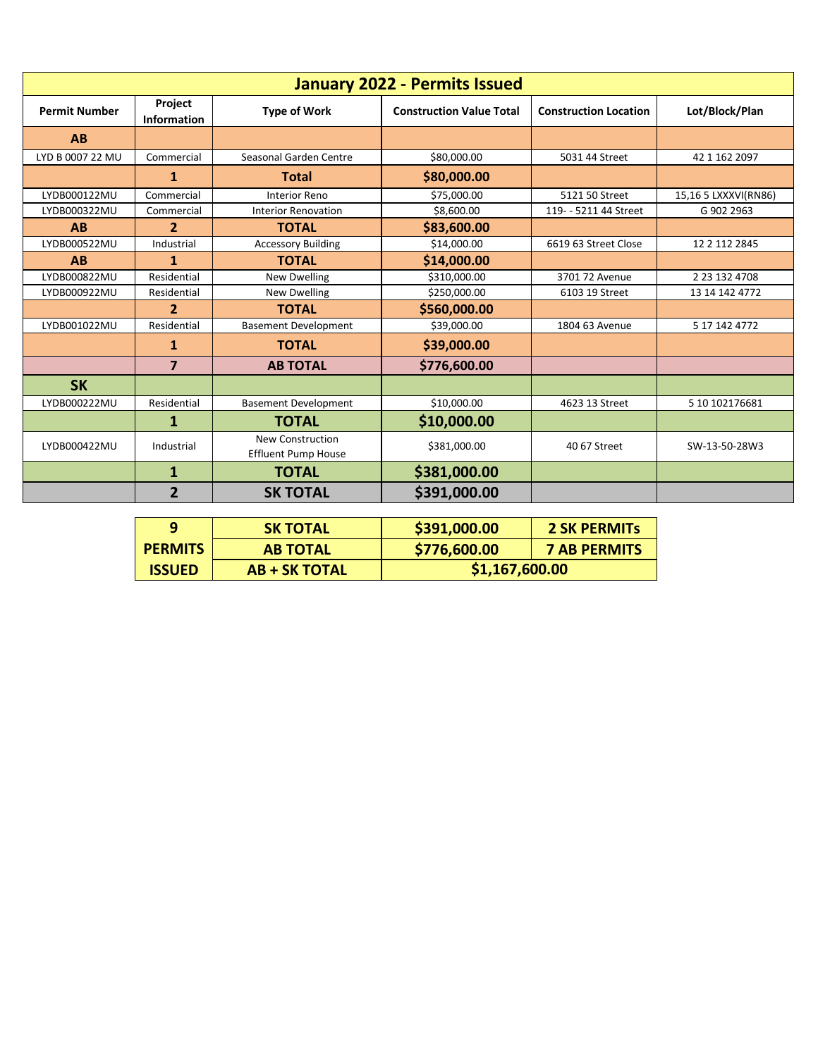|                      |                         |                                                       | <b>January 2022 - Permits Issued</b> |                              |                      |
|----------------------|-------------------------|-------------------------------------------------------|--------------------------------------|------------------------------|----------------------|
| <b>Permit Number</b> | Project<br>Information  | <b>Type of Work</b>                                   | <b>Construction Value Total</b>      | <b>Construction Location</b> | Lot/Block/Plan       |
| AB                   |                         |                                                       |                                      |                              |                      |
| LYD B 0007 22 MU     | Commercial              | Seasonal Garden Centre                                | \$80,000.00                          | 5031 44 Street               | 42 1 162 2097        |
|                      | 1                       | <b>Total</b>                                          | \$80,000.00                          |                              |                      |
| LYDB000122MU         | Commercial              | <b>Interior Reno</b>                                  | \$75,000.00                          | 5121 50 Street               | 15,16 5 LXXXVI(RN86) |
| LYDB000322MU         | Commercial              | <b>Interior Renovation</b>                            | \$8,600.00                           | 119- - 5211 44 Street        | G 902 2963           |
| AB                   | $\overline{2}$          | <b>TOTAL</b>                                          | \$83,600.00                          |                              |                      |
| LYDB000522MU         | Industrial              | <b>Accessory Building</b>                             | \$14,000.00                          | 6619 63 Street Close         | 12 2 112 2845        |
| AB                   | 1                       | <b>TOTAL</b>                                          | \$14,000.00                          |                              |                      |
| LYDB000822MU         | Residential             | <b>New Dwelling</b>                                   | \$310,000.00                         | 3701 72 Avenue               | 2 23 132 4708        |
| LYDB000922MU         | Residential             | New Dwelling                                          | \$250,000.00                         | 6103 19 Street               | 13 14 142 4772       |
|                      | $\overline{2}$          | <b>TOTAL</b>                                          | \$560,000.00                         |                              |                      |
| LYDB001022MU         | Residential             | <b>Basement Development</b>                           | \$39,000.00                          | 1804 63 Avenue               | 5 17 142 4772        |
|                      | 1                       | <b>TOTAL</b>                                          | \$39,000.00                          |                              |                      |
|                      | $\overline{\mathbf{z}}$ | <b>AB TOTAL</b>                                       | \$776,600.00                         |                              |                      |
| <b>SK</b>            |                         |                                                       |                                      |                              |                      |
| LYDB000222MU         | Residential             | <b>Basement Development</b>                           | \$10,000.00                          | 4623 13 Street               | 5 10 102176681       |
|                      | 1                       | <b>TOTAL</b>                                          | \$10,000.00                          |                              |                      |
| LYDB000422MU         | Industrial              | <b>New Construction</b><br><b>Effluent Pump House</b> | \$381,000.00                         | 40 67 Street                 | SW-13-50-28W3        |
|                      | $\mathbf{1}$            | <b>TOTAL</b>                                          | \$381,000.00                         |                              |                      |
|                      | $\overline{2}$          | <b>SK TOTAL</b>                                       | \$391,000.00                         |                              |                      |

| o              | <b>SK TOTAL</b>      | \$391,000.00   | <b>2 SK PERMITS</b> |
|----------------|----------------------|----------------|---------------------|
| <b>PERMITS</b> | <b>AB TOTAL</b>      | \$776,600.00   | <b>7 AB PERMITS</b> |
| <b>ISSUED</b>  | <b>AB + SK TOTAL</b> | \$1,167,600.00 |                     |